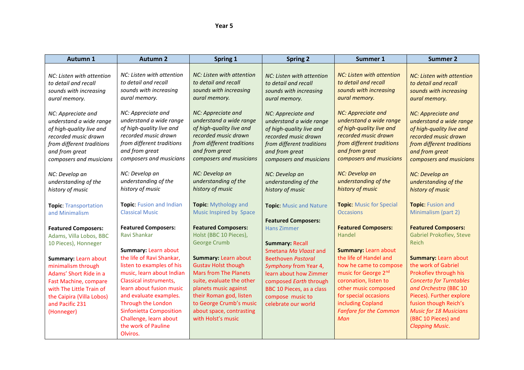## *Mear 5 Year 5*

| Autumn 1                                                                                                                                                                                | <b>Autumn 2</b>                                                                                                                                                                                                                                                                          | Spring 1                                                                                                                                                                                                                                         | <b>Spring 2</b>                                                                                                                                                                       | Summer 1                                                                                                                                                                                                                    | <b>Summer 2</b>                                                                                                                                                                                                                                                               |
|-----------------------------------------------------------------------------------------------------------------------------------------------------------------------------------------|------------------------------------------------------------------------------------------------------------------------------------------------------------------------------------------------------------------------------------------------------------------------------------------|--------------------------------------------------------------------------------------------------------------------------------------------------------------------------------------------------------------------------------------------------|---------------------------------------------------------------------------------------------------------------------------------------------------------------------------------------|-----------------------------------------------------------------------------------------------------------------------------------------------------------------------------------------------------------------------------|-------------------------------------------------------------------------------------------------------------------------------------------------------------------------------------------------------------------------------------------------------------------------------|
| NC: Listen with attention                                                                                                                                                               | NC: Listen with attention                                                                                                                                                                                                                                                                | NC: Listen with attention                                                                                                                                                                                                                        | NC: Listen with attention                                                                                                                                                             | NC: Listen with attention                                                                                                                                                                                                   | <b>NC: Listen with attention</b>                                                                                                                                                                                                                                              |
| to detail and recall                                                                                                                                                                    | to detail and recall                                                                                                                                                                                                                                                                     | to detail and recall                                                                                                                                                                                                                             | to detail and recall                                                                                                                                                                  | to detail and recall                                                                                                                                                                                                        | to detail and recall                                                                                                                                                                                                                                                          |
| sounds with increasing                                                                                                                                                                  | sounds with increasing                                                                                                                                                                                                                                                                   | sounds with increasing                                                                                                                                                                                                                           | sounds with increasing                                                                                                                                                                | sounds with increasing                                                                                                                                                                                                      | sounds with increasing                                                                                                                                                                                                                                                        |
| aural memory.                                                                                                                                                                           | aural memory.                                                                                                                                                                                                                                                                            | aural memory.                                                                                                                                                                                                                                    | aural memory.                                                                                                                                                                         | aural memory.                                                                                                                                                                                                               | aural memory.                                                                                                                                                                                                                                                                 |
| NC: Appreciate and                                                                                                                                                                      | NC: Appreciate and                                                                                                                                                                                                                                                                       | NC: Appreciate and                                                                                                                                                                                                                               | NC: Appreciate and                                                                                                                                                                    | <b>NC: Appreciate and</b>                                                                                                                                                                                                   | NC: Appreciate and                                                                                                                                                                                                                                                            |
| understand a wide range                                                                                                                                                                 | understand a wide range                                                                                                                                                                                                                                                                  | understand a wide range                                                                                                                                                                                                                          | understand a wide range                                                                                                                                                               | understand a wide range                                                                                                                                                                                                     | understand a wide range                                                                                                                                                                                                                                                       |
| of high-quality live and                                                                                                                                                                | of high-quality live and                                                                                                                                                                                                                                                                 | of high-quality live and                                                                                                                                                                                                                         | of high-quality live and                                                                                                                                                              | of high-quality live and                                                                                                                                                                                                    | of high-quality live and                                                                                                                                                                                                                                                      |
| recorded music drawn                                                                                                                                                                    | recorded music drawn                                                                                                                                                                                                                                                                     | recorded music drawn                                                                                                                                                                                                                             | recorded music drawn                                                                                                                                                                  | recorded music drawn                                                                                                                                                                                                        | recorded music drawn                                                                                                                                                                                                                                                          |
| from different traditions                                                                                                                                                               | from different traditions                                                                                                                                                                                                                                                                | from different traditions                                                                                                                                                                                                                        | from different traditions                                                                                                                                                             | from different traditions                                                                                                                                                                                                   | from different traditions                                                                                                                                                                                                                                                     |
| and from great                                                                                                                                                                          | and from great                                                                                                                                                                                                                                                                           | and from great                                                                                                                                                                                                                                   | and from great                                                                                                                                                                        | and from great                                                                                                                                                                                                              | and from great                                                                                                                                                                                                                                                                |
| composers and musicians                                                                                                                                                                 | composers and musicians                                                                                                                                                                                                                                                                  | composers and musicians                                                                                                                                                                                                                          | composers and musicians                                                                                                                                                               | composers and musicians                                                                                                                                                                                                     | composers and musicians                                                                                                                                                                                                                                                       |
| NC: Develop an                                                                                                                                                                          | NC: Develop an                                                                                                                                                                                                                                                                           | NC: Develop an                                                                                                                                                                                                                                   | NC: Develop an                                                                                                                                                                        | NC: Develop an                                                                                                                                                                                                              | NC: Develop an                                                                                                                                                                                                                                                                |
| understanding of the                                                                                                                                                                    | understanding of the                                                                                                                                                                                                                                                                     | understanding of the                                                                                                                                                                                                                             | understanding of the                                                                                                                                                                  | understanding of the                                                                                                                                                                                                        | understanding of the                                                                                                                                                                                                                                                          |
| history of music                                                                                                                                                                        | history of music                                                                                                                                                                                                                                                                         | history of music                                                                                                                                                                                                                                 | history of music                                                                                                                                                                      | history of music                                                                                                                                                                                                            | history of music                                                                                                                                                                                                                                                              |
| <b>Topic: Transportation</b>                                                                                                                                                            | <b>Topic: Fusion and Indian</b>                                                                                                                                                                                                                                                          | <b>Topic:</b> Mythology and                                                                                                                                                                                                                      | <b>Topic: Music and Nature</b>                                                                                                                                                        | <b>Topic: Music for Special</b>                                                                                                                                                                                             | <b>Topic: Fusion and</b>                                                                                                                                                                                                                                                      |
| and Minimalism                                                                                                                                                                          | <b>Classical Music</b>                                                                                                                                                                                                                                                                   | Music Inspired by Space                                                                                                                                                                                                                          | <b>Featured Composers:</b>                                                                                                                                                            | <b>Occasions</b>                                                                                                                                                                                                            | Minimalism (part 2)                                                                                                                                                                                                                                                           |
| <b>Featured Composers:</b>                                                                                                                                                              | <b>Featured Composers:</b>                                                                                                                                                                                                                                                               | <b>Featured Composers:</b>                                                                                                                                                                                                                       | <b>Hans Zimmer</b>                                                                                                                                                                    | <b>Featured Composers:</b>                                                                                                                                                                                                  | <b>Featured Composers:</b>                                                                                                                                                                                                                                                    |
| Adams, Villa Lobos, BBC                                                                                                                                                                 | Ravi Shankar                                                                                                                                                                                                                                                                             | Holst (BBC 10 Pieces),                                                                                                                                                                                                                           | <b>Summary: Recall</b>                                                                                                                                                                | Handel                                                                                                                                                                                                                      | <b>Gabriel Prokofiev, Steve</b>                                                                                                                                                                                                                                               |
| 10 Pieces), Honneger                                                                                                                                                                    | <b>Summary: Learn about</b>                                                                                                                                                                                                                                                              | <b>George Crumb</b>                                                                                                                                                                                                                              | Smetana Ma Vlaast and                                                                                                                                                                 | <b>Summary: Learn about</b>                                                                                                                                                                                                 | Reich                                                                                                                                                                                                                                                                         |
| Summary: Learn about<br>minimalism through<br>Adams' Short Ride in a<br>Fast Machine, compare<br>with The Little Train of<br>the Caipira (Villa Lobos)<br>and Pacific 231<br>(Honneger) | the life of Ravi Shankar,<br>listen to examples of his<br>music, learn about Indian<br>Classical instruments,<br>learn about fusion music<br>and evaluate examples.<br>Through the London<br><b>Sinfonietta Composition</b><br>Challenge, learn about<br>the work of Pauline<br>Olviros. | Summary: Learn about<br><b>Gustav Holst though</b><br><b>Mars from The Planets</b><br>suite, evaluate the other<br>planets music against<br>their Roman god, listen<br>to George Crumb's music<br>about space, contrasting<br>with Holst's music | <b>Beethoven Pastoral</b><br>Symphony from Year 4,<br>learn about how Zimmer<br>composed Earth through<br><b>BBC 10 Pieces, as a class</b><br>compose music to<br>celebrate our world | the life of Handel and<br>how he came to compose<br>music for George 2 <sup>nd</sup><br>coronation, listen to<br>other music composed<br>for special occasions<br>including Copland<br><b>Fanfare for the Common</b><br>Man | <b>Summary: Learn about</b><br>the work of Gabriel<br>Prokofiev through his<br><b>Concerto for Turntables</b><br>and Orchestra (BBC 10<br>Pieces). Further explore<br>fusion though Reich's<br><b>Music for 18 Musicians</b><br>(BBC 10 Pieces) and<br><b>Clapping Music.</b> |